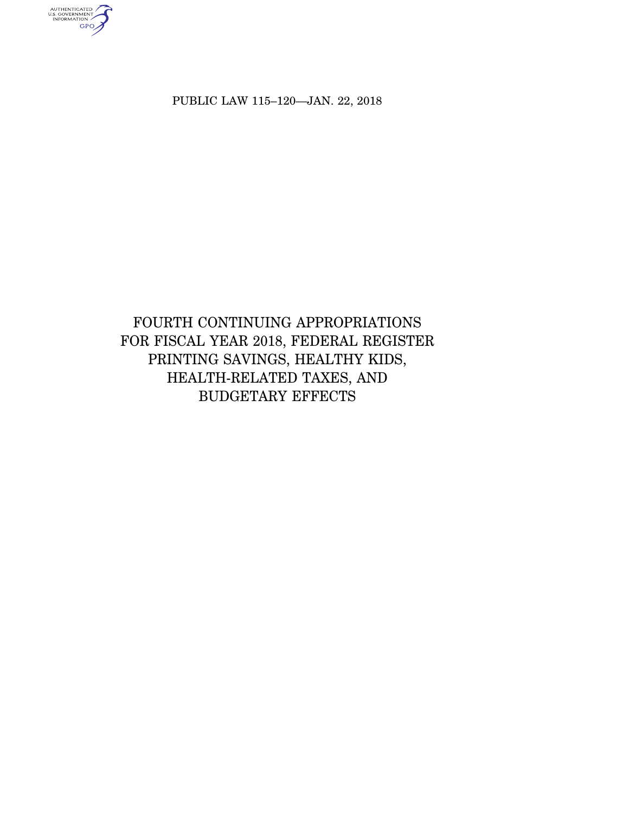PUBLIC LAW 115–120—JAN. 22, 2018

AUTHENTICATED<br>U.S. GOVERNMENT<br>INFORMATION

# FOURTH CONTINUING APPROPRIATIONS FOR FISCAL YEAR 2018, FEDERAL REGISTER PRINTING SAVINGS, HEALTHY KIDS, HEALTH-RELATED TAXES, AND BUDGETARY EFFECTS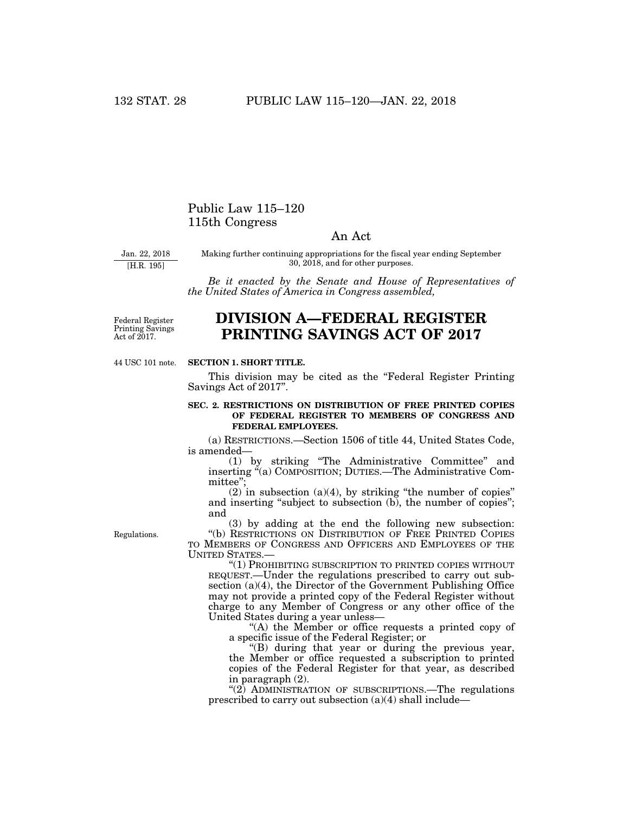# Public Law 115–120 115th Congress

# An Act

Jan. 22, 2018 [H.R. 195]

Making further continuing appropriations for the fiscal year ending September 30, 2018, and for other purposes.

*Be it enacted by the Senate and House of Representatives of the United States of America in Congress assembled,* 

Federal Register Printing Savings Act of 2017.

# **DIVISION A—FEDERAL REGISTER PRINTING SAVINGS ACT OF 2017**

44 USC 101 note.

### **SECTION 1. SHORT TITLE.**

This division may be cited as the ''Federal Register Printing Savings Act of 2017''.

# **SEC. 2. RESTRICTIONS ON DISTRIBUTION OF FREE PRINTED COPIES OF FEDERAL REGISTER TO MEMBERS OF CONGRESS AND FEDERAL EMPLOYEES.**

(a) RESTRICTIONS.—Section 1506 of title 44, United States Code, is amended—

(1) by striking ''The Administrative Committee'' and inserting "(a) COMPOSITION; DUTIES.—The Administrative Committee'';

 $(2)$  in subsection  $(a)(4)$ , by striking "the number of copies" and inserting "subject to subsection (b), the number of copies"; and

Regulations.

(3) by adding at the end the following new subsection: ''(b) RESTRICTIONS ON DISTRIBUTION OF FREE PRINTED COPIES TO MEMBERS OF CONGRESS AND OFFICERS AND EMPLOYEES OF THE UNITED STATES.—

''(1) PROHIBITING SUBSCRIPTION TO PRINTED COPIES WITHOUT REQUEST.—Under the regulations prescribed to carry out subsection (a)(4), the Director of the Government Publishing Office may not provide a printed copy of the Federal Register without charge to any Member of Congress or any other office of the United States during a year unless—

"(A) the Member or office requests a printed copy of a specific issue of the Federal Register; or

''(B) during that year or during the previous year, the Member or office requested a subscription to printed copies of the Federal Register for that year, as described in paragraph (2).

" $(2)$  ADMINISTRATION OF SUBSCRIPTIONS.—The regulations prescribed to carry out subsection (a)(4) shall include—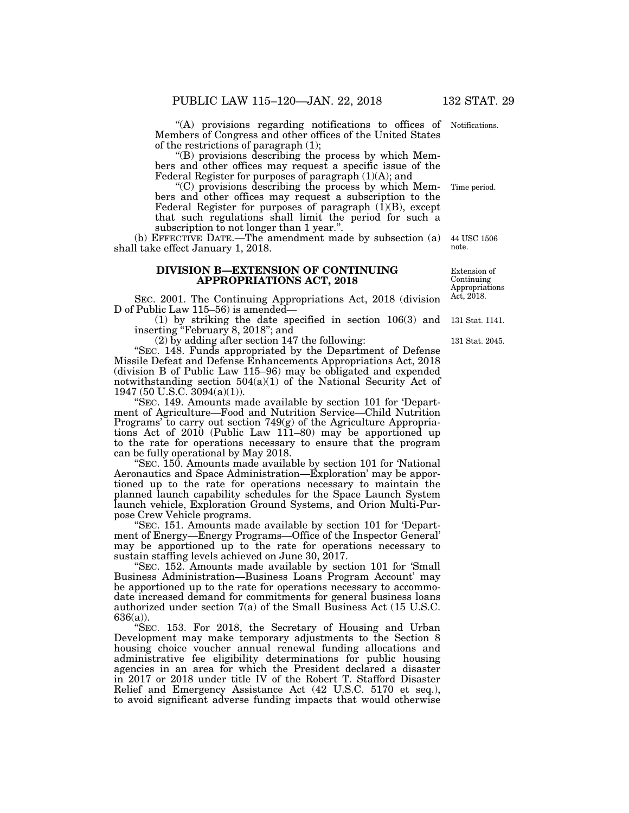''(A) provisions regarding notifications to offices of Notifications. Members of Congress and other offices of the United States of the restrictions of paragraph (1);

''(B) provisions describing the process by which Members and other offices may request a specific issue of the Federal Register for purposes of paragraph  $(1)(A)$ ; and

 $(C)$  provisions describing the process by which Members and other offices may request a subscription to the Federal Register for purposes of paragraph  $(\overline{1})(B)$ , except that such regulations shall limit the period for such a subscription to not longer than 1 year.''.

(b) EFFECTIVE DATE.—The amendment made by subsection (a) shall take effect January 1, 2018. 44 USC 1506 note.

# **DIVISION B—EXTENSION OF CONTINUING APPROPRIATIONS ACT, 2018**

SEC. 2001. The Continuing Appropriations Act, 2018 (division D of Public Law 115–56) is amended—

(1) by striking the date specified in section 106(3) and inserting ''February 8, 2018''; and

(2) by adding after section 147 the following:

''SEC. 148. Funds appropriated by the Department of Defense Missile Defeat and Defense Enhancements Appropriations Act, 2018 (division B of Public Law 115–96) may be obligated and expended notwithstanding section  $504(a)(1)$  of the National Security Act of 1947 (50 U.S.C. 3094(a)(1)).

''SEC. 149. Amounts made available by section 101 for 'Department of Agriculture—Food and Nutrition Service—Child Nutrition Programs' to carry out section 749(g) of the Agriculture Appropriations Act of 2010 (Public Law 111–80) may be apportioned up to the rate for operations necessary to ensure that the program can be fully operational by May 2018.

''SEC. 150. Amounts made available by section 101 for 'National Aeronautics and Space Administration—Exploration' may be apportioned up to the rate for operations necessary to maintain the planned launch capability schedules for the Space Launch System launch vehicle, Exploration Ground Systems, and Orion Multi-Purpose Crew Vehicle programs.

''SEC. 151. Amounts made available by section 101 for 'Department of Energy—Energy Programs—Office of the Inspector General' may be apportioned up to the rate for operations necessary to sustain staffing levels achieved on June 30, 2017.

''SEC. 152. Amounts made available by section 101 for 'Small Business Administration—Business Loans Program Account' may be apportioned up to the rate for operations necessary to accommodate increased demand for commitments for general business loans authorized under section 7(a) of the Small Business Act (15 U.S.C. 636(a)).

SEC. 153. For 2018, the Secretary of Housing and Urban Development may make temporary adjustments to the Section 8 housing choice voucher annual renewal funding allocations and administrative fee eligibility determinations for public housing agencies in an area for which the President declared a disaster in 2017 or 2018 under title IV of the Robert T. Stafford Disaster Relief and Emergency Assistance Act (42 U.S.C. 5170 et seq.), to avoid significant adverse funding impacts that would otherwise

Extension of Continuing Appropriations Act, 2018.

131 Stat. 1141.

131 Stat. 2045.

Time period.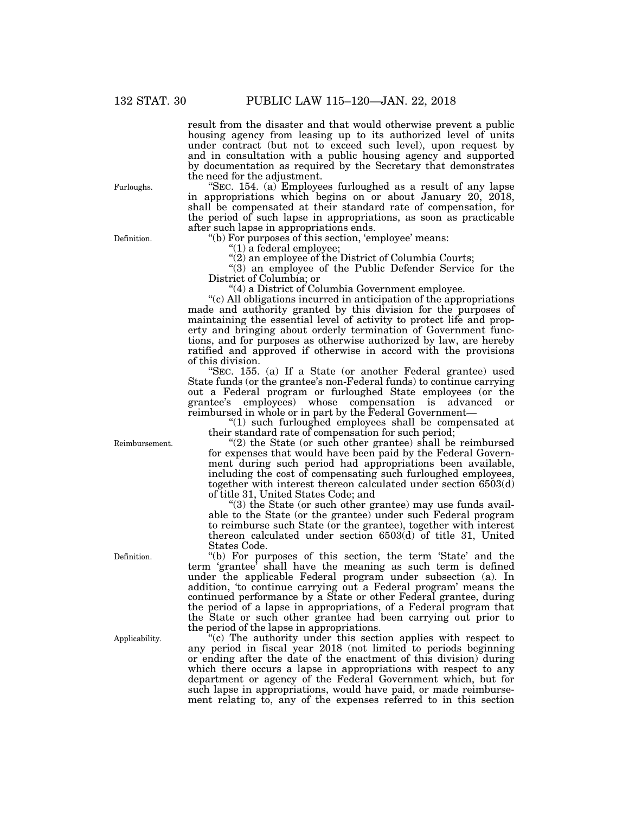result from the disaster and that would otherwise prevent a public housing agency from leasing up to its authorized level of units under contract (but not to exceed such level), upon request by and in consultation with a public housing agency and supported by documentation as required by the Secretary that demonstrates the need for the adjustment.

''SEC. 154. (a) Employees furloughed as a result of any lapse in appropriations which begins on or about January 20, 2018, shall be compensated at their standard rate of compensation, for the period of such lapse in appropriations, as soon as practicable after such lapse in appropriations ends.

''(b) For purposes of this section, 'employee' means:

''(1) a federal employee;

"(2) an employee of the District of Columbia Courts;

''(3) an employee of the Public Defender Service for the District of Columbia; or

''(4) a District of Columbia Government employee.

''(c) All obligations incurred in anticipation of the appropriations made and authority granted by this division for the purposes of maintaining the essential level of activity to protect life and property and bringing about orderly termination of Government functions, and for purposes as otherwise authorized by law, are hereby ratified and approved if otherwise in accord with the provisions of this division.

''SEC. 155. (a) If a State (or another Federal grantee) used State funds (or the grantee's non-Federal funds) to continue carrying out a Federal program or furloughed State employees (or the grantee's employees) whose compensation is advanced or reimbursed in whole or in part by the Federal Government—

''(1) such furloughed employees shall be compensated at their standard rate of compensation for such period;

"(2) the State (or such other grantee) shall be reimbursed for expenses that would have been paid by the Federal Government during such period had appropriations been available, including the cost of compensating such furloughed employees, together with interest thereon calculated under section 6503(d) of title 31, United States Code; and

''(3) the State (or such other grantee) may use funds available to the State (or the grantee) under such Federal program to reimburse such State (or the grantee), together with interest thereon calculated under section 6503(d) of title 31, United States Code.

''(b) For purposes of this section, the term 'State' and the term 'grantee' shall have the meaning as such term is defined under the applicable Federal program under subsection (a). In addition, 'to continue carrying out a Federal program' means the continued performance by a State or other Federal grantee, during the period of a lapse in appropriations, of a Federal program that the State or such other grantee had been carrying out prior to the period of the lapse in appropriations.

''(c) The authority under this section applies with respect to any period in fiscal year 2018 (not limited to periods beginning or ending after the date of the enactment of this division) during which there occurs a lapse in appropriations with respect to any department or agency of the Federal Government which, but for such lapse in appropriations, would have paid, or made reimbursement relating to, any of the expenses referred to in this section

Reimbursement.

Applicability.

Definition.

Furloughs.

Definition.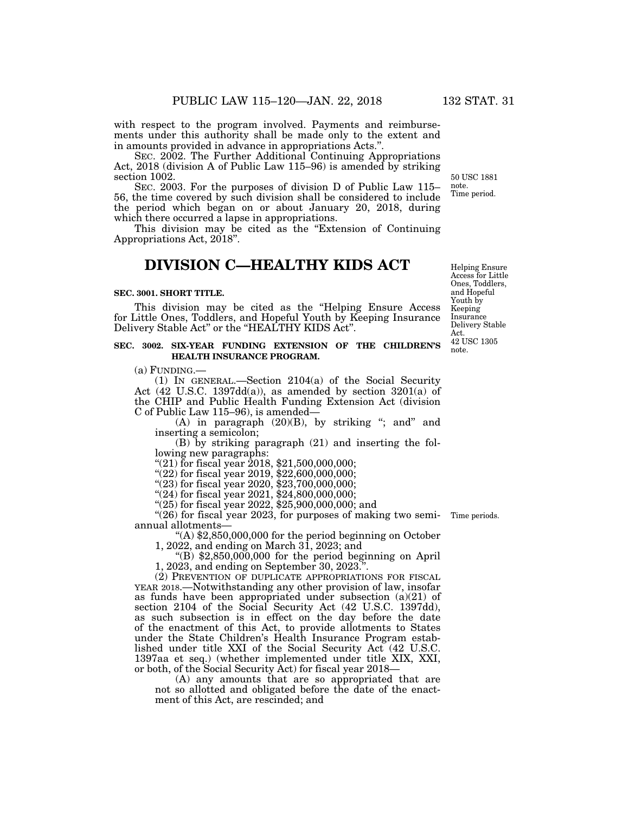with respect to the program involved. Payments and reimbursements under this authority shall be made only to the extent and in amounts provided in advance in appropriations Acts.''.

SEC. 2002. The Further Additional Continuing Appropriations Act, 2018 (division A of Public Law 115–96) is amended by striking section 1002.

SEC. 2003. For the purposes of division D of Public Law 115– 56, the time covered by such division shall be considered to include the period which began on or about January 20, 2018, during which there occurred a lapse in appropriations.

This division may be cited as the "Extension of Continuing" Appropriations Act, 2018''.

# **DIVISION C—HEALTHY KIDS ACT**

### **SEC. 3001. SHORT TITLE.**

This division may be cited as the "Helping Ensure Access" for Little Ones, Toddlers, and Hopeful Youth by Keeping Insurance Delivery Stable Act" or the "HEALTHY KIDS Act".

# **SEC. 3002. SIX-YEAR FUNDING EXTENSION OF THE CHILDREN'S HEALTH INSURANCE PROGRAM.**

(a) FUNDING.—

(1) IN GENERAL.—Section 2104(a) of the Social Security Act  $(42 \text{ U.S.C. } 1397\text{dd}(a))$ , as amended by section  $3201(a)$  of the CHIP and Public Health Funding Extension Act (division C of Public Law 115–96), is amended—

 $(A)$  in paragraph  $(20)(B)$ , by striking "; and" and inserting a semicolon;

(B) by striking paragraph (21) and inserting the following new paragraphs:

"(21) for fiscal year 2018, \$21,500,000,000;

"(22) for fiscal year 2019, \$22,600,000,000;

 $(23)$  for fiscal year 2020, \$23,700,000,000;

''(24) for fiscal year 2021, \$24,800,000,000;

''(25) for fiscal year 2022, \$25,900,000,000; and

"(26) for fiscal year 2023, for purposes of making two semi- Time periods. annual allotments—

''(A) \$2,850,000,000 for the period beginning on October

1, 2022, and ending on March 31, 2023; and

" $(B)$  \$2,850,000,000 for the period beginning on April 1, 2023, and ending on September 30, 2023.''.

(2) PREVENTION OF DUPLICATE APPROPRIATIONS FOR FISCAL YEAR 2018.—Notwithstanding any other provision of law, insofar as funds have been appropriated under subsection (a)(21) of section 2104 of the Social Security Act (42 U.S.C. 1397dd), as such subsection is in effect on the day before the date of the enactment of this Act, to provide allotments to States under the State Children's Health Insurance Program established under title XXI of the Social Security Act (42 U.S.C. 1397aa et seq.) (whether implemented under title XIX, XXI, or both, of the Social Security Act) for fiscal year 2018—

(A) any amounts that are so appropriated that are not so allotted and obligated before the date of the enactment of this Act, are rescinded; and

Helping Ensure Access for Little Ones, Toddlers, and Hopeful Youth by Keeping Insurance Delivery Stable Act. 42 USC 1305 note.

50 USC 1881 note. Time period.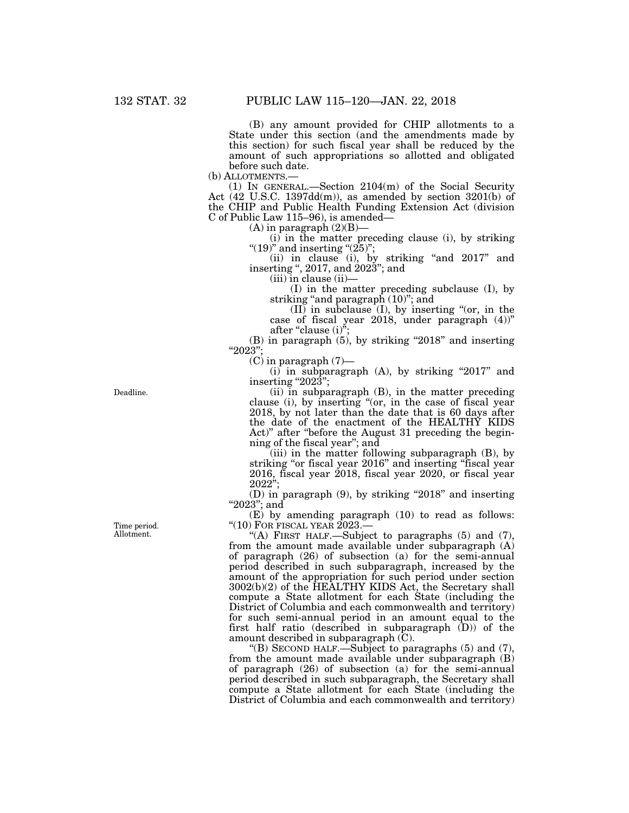(B) any amount provided for CHIP allotments to a State under this section (and the amendments made by this section) for such fiscal year shall be reduced by the amount of such appropriations so allotted and obligated before such date.

(b) ALLOTMENTS.—<br>(1) IN GENERAL.—Section  $2104(m)$  of the Social Security Act (42 U.S.C. 1397dd(m)), as amended by section 3201(b) of the CHIP and Public Health Funding Extension Act (division C of Public Law 115–96), is amended—

 $(A)$  in paragraph  $(2)(B)$ —

(i) in the matter preceding clause (i), by striking "(19)" and inserting " $(25)$ ";

(ii) in clause (i), by striking ''and 2017'' and inserting '', 2017, and 2023''; and

(iii) in clause (ii)—

(I) in the matter preceding subclause (I), by striking "and paragraph  $(10)$ "; and

 $(II)$  in subclause  $(I)$ , by inserting "(or, in the case of fiscal year 2018, under paragraph (4))'' after "clause  $(i)$ ";

 $(B)$  in paragraph  $(5)$ , by striking "2018" and inserting "2023"

 $(C)$  in paragraph  $(7)$ —

 $(i)$  in subparagraph  $(A)$ , by striking "2017" and inserting " $202\overline{3}$ ";

(ii) in subparagraph (B), in the matter preceding clause (i), by inserting "(or, in the case of fiscal year 2018, by not later than the date that is 60 days after the date of the enactment of the HEALTHY KIDS Act)'' after ''before the August 31 preceding the beginning of the fiscal year''; and

(iii) in the matter following subparagraph (B), by striking "or fiscal year 2016" and inserting "fiscal year 2016, fiscal year 2018, fiscal year 2020, or fiscal year  $2022$ ";

 $(D)$  in paragraph  $(9)$ , by striking "2018" and inserting ''2023''; and

(E) by amending paragraph (10) to read as follows: "(10) FOR FISCAL YEAR 2023.-

"(A) FIRST HALF.—Subject to paragraphs  $(5)$  and  $(7)$ , from the amount made available under subparagraph (A) of paragraph (26) of subsection (a) for the semi-annual period described in such subparagraph, increased by the amount of the appropriation for such period under section 3002(b)(2) of the HEALTHY KIDS Act, the Secretary shall compute a State allotment for each State (including the District of Columbia and each commonwealth and territory) for such semi-annual period in an amount equal to the first half ratio (described in subparagraph (D)) of the amount described in subparagraph (C).

"(B) SECOND HALF.—Subject to paragraphs  $(5)$  and  $(7)$ , from the amount made available under subparagraph (B) of paragraph (26) of subsection (a) for the semi-annual period described in such subparagraph, the Secretary shall compute a State allotment for each State (including the District of Columbia and each commonwealth and territory)

Deadline.

Time period. Allotment.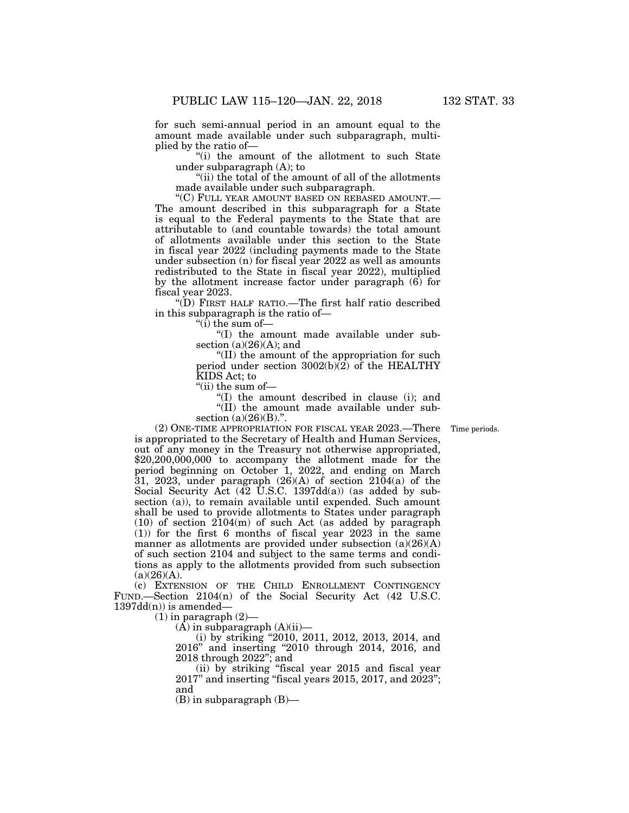for such semi-annual period in an amount equal to the amount made available under such subparagraph, multiplied by the ratio of—

''(i) the amount of the allotment to such State under subparagraph (A); to

"(ii) the total of the amount of all of the allotments made available under such subparagraph.

''(C) FULL YEAR AMOUNT BASED ON REBASED AMOUNT.— The amount described in this subparagraph for a State is equal to the Federal payments to the State that are attributable to (and countable towards) the total amount of allotments available under this section to the State in fiscal year 2022 (including payments made to the State under subsection (n) for fiscal year 2022 as well as amounts redistributed to the State in fiscal year 2022), multiplied by the allotment increase factor under paragraph (6) for fiscal year 2023.

''(D) FIRST HALF RATIO.—The first half ratio described in this subparagraph is the ratio of—

" $(i)$  the sum of-

''(I) the amount made available under subsection  $(a)(26)(A)$ ; and

''(II) the amount of the appropriation for such period under section  $3002(b)\overline{2}$  of the HEALTHY KIDS Act; to

''(ii) the sum of—

''(I) the amount described in clause (i); and ''(II) the amount made available under subsection (a)(26)(B).".

Time periods.

(2) ONE-TIME APPROPRIATION FOR FISCAL YEAR 2023.—There is appropriated to the Secretary of Health and Human Services, out of any money in the Treasury not otherwise appropriated, \$20,200,000,000 to accompany the allotment made for the period beginning on October 1, 2022, and ending on March 31, 2023, under paragraph  $(26)(A)$  of section  $2104(a)$  of the Social Security Act  $(42 \text{ U.S.C. } 1397\text{dd}(a))$  (as added by subsection (a)), to remain available until expended. Such amount shall be used to provide allotments to States under paragraph  $(10)$  of section  $2104(m)$  of such Act (as added by paragraph (1)) for the first 6 months of fiscal year 2023 in the same manner as allotments are provided under subsection  $(a)(26)(A)$ of such section 2104 and subject to the same terms and conditions as apply to the allotments provided from such subsection  $(a)(26)(A)$ .

(c) EXTENSION OF THE CHILD ENROLLMENT CONTINGENCY FUND.—Section 2104(n) of the Social Security Act (42 U.S.C.  $1397dd(n)$  is amended-

 $(1)$  in paragraph  $(2)$ 

 $(A)$  in subparagraph  $(A)(ii)$ —

(i) by striking ''2010, 2011, 2012, 2013, 2014, and 2016'' and inserting ''2010 through 2014, 2016, and 2018 through 2022''; and

(ii) by striking ''fiscal year 2015 and fiscal year 2017'' and inserting ''fiscal years 2015, 2017, and 2023''; and

(B) in subparagraph (B)—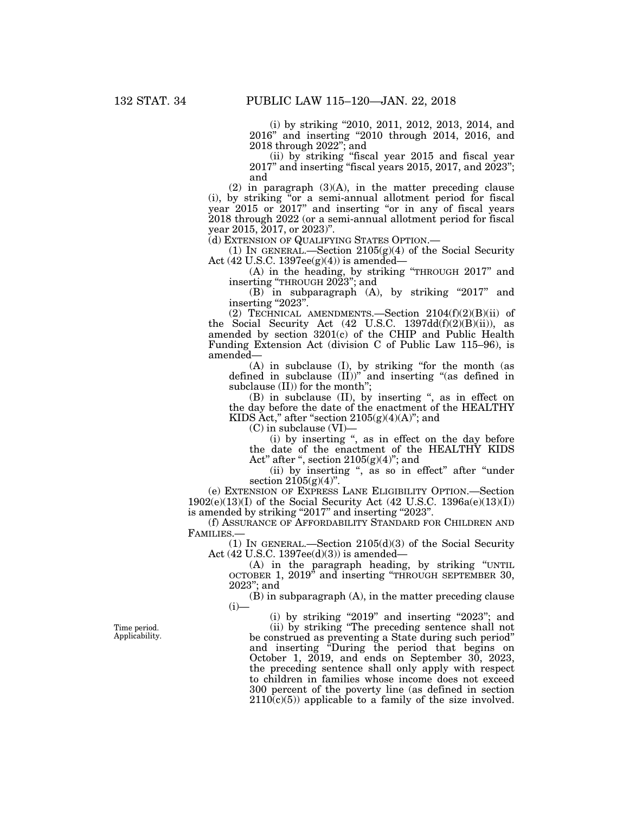(i) by striking ''2010, 2011, 2012, 2013, 2014, and 2016'' and inserting ''2010 through 2014, 2016, and 2018 through 2022''; and

(ii) by striking ''fiscal year 2015 and fiscal year 2017'' and inserting ''fiscal years 2015, 2017, and 2023''; and

(2) in paragraph  $(3)(A)$ , in the matter preceding clause (i), by striking ''or a semi-annual allotment period for fiscal year 2015 or 2017" and inserting "or in any of fiscal years 2018 through 2022 (or a semi-annual allotment period for fiscal year 2015, 2017, or 2023)''.

(d) EXTENSION OF QUALIFYING STATES OPTION.—

(1) IN GENERAL.—Section 2105(g)(4) of the Social Security Act (42 U.S.C. 1397ee(g)(4)) is amended—

(A) in the heading, by striking ''THROUGH 2017'' and inserting ''THROUGH 2023''; and

 $(B)$  in subparagraph  $(A)$ , by striking "2017" and inserting "2023".

(2) TECHNICAL AMENDMENTS.—Section  $2104(f)(2)(B)(ii)$  of the Social Security Act (42 U.S.C. 1397dd(f)(2)(B)(ii)), as amended by section 3201(c) of the CHIP and Public Health Funding Extension Act (division C of Public Law 115–96), is amended—

(A) in subclause (I), by striking ''for the month (as defined in subclause  $(II)$ <sup>"</sup> and inserting "(as defined in subclause (II)) for the month'';

(B) in subclause (II), by inserting '', as in effect on the day before the date of the enactment of the HEALTHY KIDS Act," after "section  $2105(g)(4)(A)$ "; and

(C) in subclause (VI)—

(i) by inserting ", as in effect on the day before the date of the enactment of the HEALTHY KIDS Act" after ", section  $2105(g)(4)$ "; and

(ii) by inserting '', as so in effect'' after ''under section  $2105(g)(4)$ ".

(e) EXTENSION OF EXPRESS LANE ELIGIBILITY OPTION.—Section 1902(e)(13)(I) of the Social Security Act (42 U.S.C. 1396a(e)(13)(I)) is amended by striking "2017" and inserting "2023".

(f) ASSURANCE OF AFFORDABILITY STANDARD FOR CHILDREN AND FAMILIES.—

(1) In GENERAL.—Section  $2105(d)(3)$  of the Social Security Act (42 U.S.C. 1397ee(d)(3)) is amended—

(A) in the paragraph heading, by striking ''UNTIL OCTOBER 1, 2019'' and inserting ''THROUGH SEPTEMBER 30, 2023''; and

(B) in subparagraph (A), in the matter preceding clause  $(i)$ —

(i) by striking "2019" and inserting "2023"; and

(ii) by striking ''The preceding sentence shall not be construed as preventing a State during such period'' and inserting ''During the period that begins on October 1, 2019, and ends on September 30, 2023, the preceding sentence shall only apply with respect to children in families whose income does not exceed 300 percent of the poverty line (as defined in section  $2110(c)(5)$  applicable to a family of the size involved.

Time period. Applicability.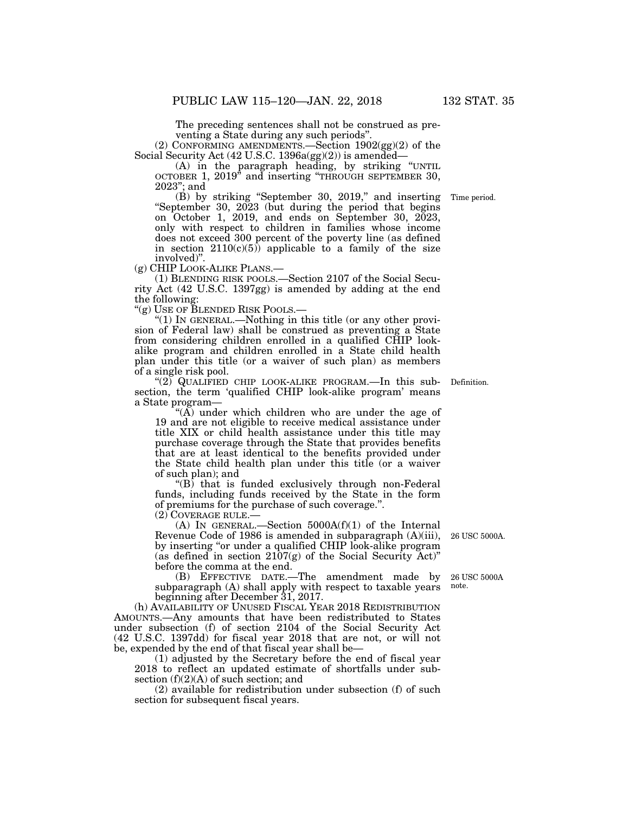The preceding sentences shall not be construed as preventing a State during any such periods''.

(2) CONFORMING AMENDMENTS.—Section 1902(gg)(2) of the Social Security Act (42 U.S.C. 1396a(gg)(2)) is amended—

(A) in the paragraph heading, by striking ''UNTIL OCTOBER 1, 2019'' and inserting ''THROUGH SEPTEMBER 30, 2023''; and

(B) by striking ''September 30, 2019,'' and inserting ''September 30, 2023 (but during the period that begins on October 1, 2019, and ends on September 30, 2023, only with respect to children in families whose income does not exceed 300 percent of the poverty line (as defined in section  $2110(c)(5)$  applicable to a family of the size involved)".<br>(g) CHIP LOOK-ALIKE PLANS.—

 $(1)$  BLENDING RISK POOLS.—Section 2107 of the Social Security Act (42 U.S.C. 1397gg) is amended by adding at the end the following:

''(g) USE OF BLENDED RISK POOLS.—

''(1) IN GENERAL.—Nothing in this title (or any other provision of Federal law) shall be construed as preventing a State from considering children enrolled in a qualified CHIP lookalike program and children enrolled in a State child health plan under this title (or a waiver of such plan) as members of a single risk pool.

''(2) QUALIFIED CHIP LOOK-ALIKE PROGRAM.—In this subsection, the term 'qualified CHIP look-alike program' means a State program—

" $(A)$  under which children who are under the age of 19 and are not eligible to receive medical assistance under title XIX or child health assistance under this title may purchase coverage through the State that provides benefits that are at least identical to the benefits provided under the State child health plan under this title (or a waiver of such plan); and

 $(G)$  that is funded exclusively through non-Federal funds, including funds received by the State in the form of premiums for the purchase of such coverage.''.

(2) COVERAGE RULE.—

(A) IN GENERAL.—Section 5000A(f)(1) of the Internal Revenue Code of 1986 is amended in subparagraph (A)(iii), by inserting "or under a qualified CHIP look-alike program (as defined in section  $2107(g)$  of the Social Security Act)" before the comma at the end.

(B) EFFECTIVE DATE.—The amendment made by subparagraph (A) shall apply with respect to taxable years beginning after December 31, 2017.

(h) AVAILABILITY OF UNUSED FISCAL YEAR 2018 REDISTRIBUTION AMOUNTS.—Any amounts that have been redistributed to States under subsection (f) of section 2104 of the Social Security Act (42 U.S.C. 1397dd) for fiscal year 2018 that are not, or will not be, expended by the end of that fiscal year shall be—

(1) adjusted by the Secretary before the end of fiscal year 2018 to reflect an updated estimate of shortfalls under subsection (f)(2)(A) of such section; and

(2) available for redistribution under subsection (f) of such section for subsequent fiscal years.

26 USC 5000A.

26 USC 5000A note.

Definition.

Time period.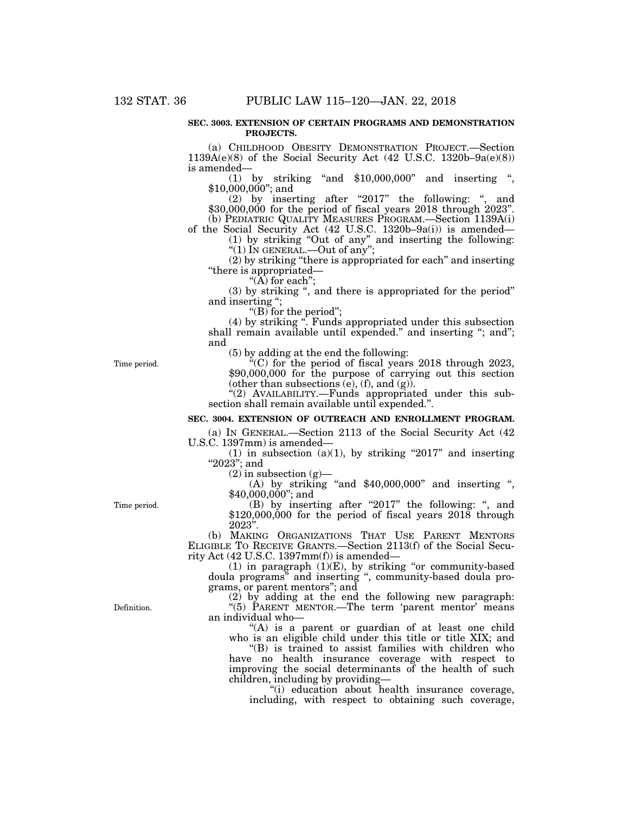#### **SEC. 3003. EXTENSION OF CERTAIN PROGRAMS AND DEMONSTRATION PROJECTS.**

(a) CHILDHOOD OBESITY DEMONSTRATION PROJECT.—Section 1139A(e)(8) of the Social Security Act (42 U.S.C. 1320b–9a(e)(8)) is amended—

(1) by striking ''and \$10,000,000'' and inserting '', \$10,000,000''; and

 $(2)$  by inserting after "2017" the following: ", and \$30,000,000 for the period of fiscal years 2018 through 2023". (b) PEDIATRIC QUALITY MEASURES PROGRAM.—Section 1139A(i)

of the Social Security Act (42 U.S.C. 1320b–9a(i)) is amended— (1) by striking ''Out of any'' and inserting the following: " $(1)$  In GENERAL.—Out of any";

(2) by striking ''there is appropriated for each'' and inserting ''there is appropriated—

" $(\overrightarrow{A})$  for each";

(3) by striking '', and there is appropriated for the period'' and inserting '';

"(B) for the period";

(4) by striking ''. Funds appropriated under this subsection shall remain available until expended." and inserting "; and"; and

(5) by adding at the end the following:

''(C) for the period of fiscal years 2018 through 2023, \$90,000,000 for the purpose of carrying out this section (other than subsections  $(e)$ ,  $(f)$ , and  $(g)$ ).

"(2) AVAILABILITY.--Funds appropriated under this subsection shall remain available until expended.''.

#### **SEC. 3004. EXTENSION OF OUTREACH AND ENROLLMENT PROGRAM.**

(a) IN GENERAL.—Section 2113 of the Social Security Act (42 U.S.C. 1397mm) is amended—

(1) in subsection (a)(1), by striking "2017" and inserting " $2023"$ ; and<br>(2) in subsection (g)—

(A) by striking "and  $$40,000,000$ " and inserting ", \$40,000,000''; and

(B) by inserting after "2017" the following: ", and \$120,000,000 for the period of fiscal years 2018 through 2023''.

(b) MAKING ORGANIZATIONS THAT USE PARENT MENTORS ELIGIBLE TO RECEIVE GRANTS.—Section 2113(f) of the Social Security Act (42 U.S.C. 1397mm(f)) is amended—

 $(1)$  in paragraph  $(1)(E)$ , by striking "or community-based doula programs'' and inserting '', community-based doula programs, or parent mentors''; and

(2) by adding at the end the following new paragraph: "(5) PARENT MENTOR.—The term 'parent mentor' means an individual who—

"(A) is a parent or guardian of at least one child who is an eligible child under this title or title XIX; and

''(B) is trained to assist families with children who have no health insurance coverage with respect to improving the social determinants of the health of such children, including by providing—

''(i) education about health insurance coverage, including, with respect to obtaining such coverage,

Time period.

Time period.

Definition.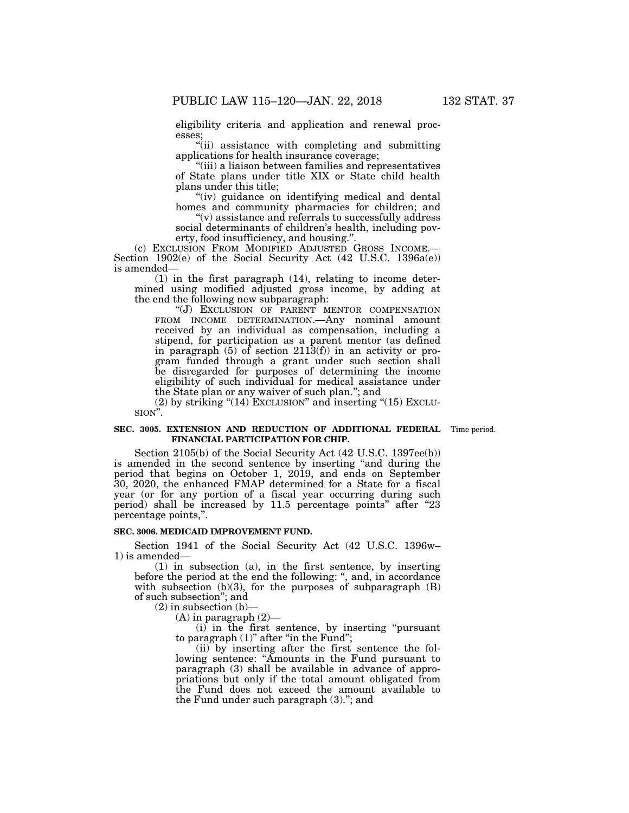eligibility criteria and application and renewal processes;

''(ii) assistance with completing and submitting applications for health insurance coverage;

"(iii) a liaison between families and representatives of State plans under title XIX or State child health plans under this title;

"(iv) guidance on identifying medical and dental homes and community pharmacies for children; and

" $(v)$  assistance and referrals to successfully address" social determinants of children's health, including pov-

erty, food insufficiency, and housing.".<br>(c) EXCLUSION FROM MODIFIED ADJUSTED GROSS INCOME.— Section 1902(e) of the Social Security Act (42 U.S.C. 1396a(e)) is amended—

(1) in the first paragraph (14), relating to income determined using modified adjusted gross income, by adding at the end the following new subparagraph:

''(J) EXCLUSION OF PARENT MENTOR COMPENSATION FROM INCOME DETERMINATION.—Any nominal amount received by an individual as compensation, including a stipend, for participation as a parent mentor (as defined in paragraph (5) of section 2113(f)) in an activity or program funded through a grant under such section shall be disregarded for purposes of determining the income eligibility of such individual for medical assistance under the State plan or any waiver of such plan.''; and

 $(2)$  by striking " $(14)$  EXCLUSION" and inserting " $(15)$  EXCLU-SION''.

#### **SEC. 3005. EXTENSION AND REDUCTION OF ADDITIONAL FEDERAL** Time period. **FINANCIAL PARTICIPATION FOR CHIP.**

Section 2105(b) of the Social Security Act (42 U.S.C. 1397ee(b)) is amended in the second sentence by inserting "and during the period that begins on October 1, 2019, and ends on September 30, 2020, the enhanced FMAP determined for a State for a fiscal year (or for any portion of a fiscal year occurring during such period) shall be increased by 11.5 percentage points'' after ''23 percentage points,''.

# **SEC. 3006. MEDICAID IMPROVEMENT FUND.**

Section 1941 of the Social Security Act (42 U.S.C. 1396w– 1) is amended—

(1) in subsection (a), in the first sentence, by inserting before the period at the end the following: '', and, in accordance with subsection  $(b)(3)$ , for the purposes of subparagraph  $(B)$ of such subsection''; and

 $(2)$  in subsection  $(b)$ -

(A) in paragraph (2)—

(i) in the first sentence, by inserting ''pursuant to paragraph (1)" after "in the Fund";

(ii) by inserting after the first sentence the following sentence: "Amounts in the Fund pursuant to paragraph (3) shall be available in advance of appropriations but only if the total amount obligated from the Fund does not exceed the amount available to the Fund under such paragraph (3).''; and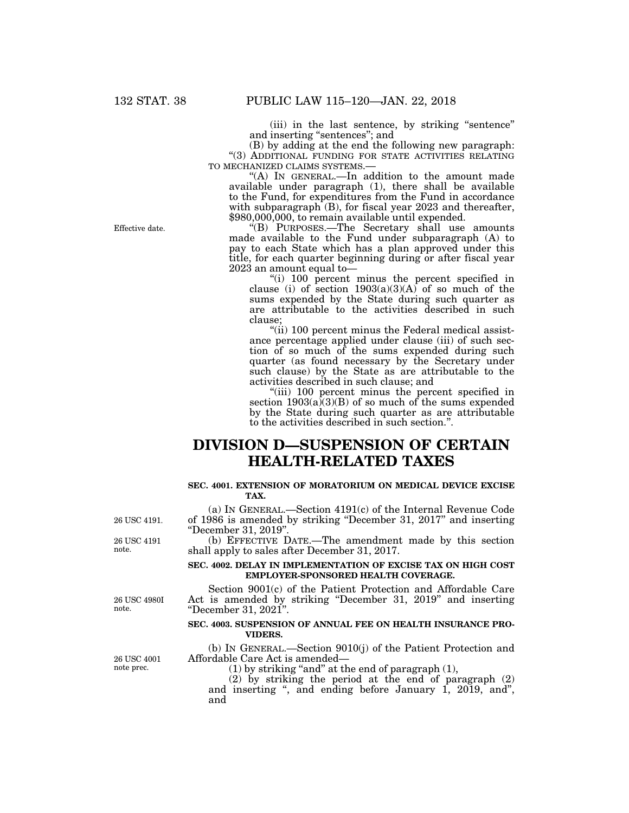(iii) in the last sentence, by striking ''sentence'' and inserting ''sentences''; and

(B) by adding at the end the following new paragraph: ''(3) ADDITIONAL FUNDING FOR STATE ACTIVITIES RELATING

" $(A)$  In GENERAL.—In addition to the amount made available under paragraph (1), there shall be available to the Fund, for expenditures from the Fund in accordance with subparagraph (B), for fiscal year 2023 and thereafter, \$980,000,000, to remain available until expended.

''(B) PURPOSES.—The Secretary shall use amounts made available to the Fund under subparagraph (A) to pay to each State which has a plan approved under this title, for each quarter beginning during or after fiscal year 2023 an amount equal to—

''(i) 100 percent minus the percent specified in clause (i) of section  $1903(a)(3)(A)$  of so much of the sums expended by the State during such quarter as are attributable to the activities described in such clause;

"(ii) 100 percent minus the Federal medical assistance percentage applied under clause (iii) of such section of so much of the sums expended during such quarter (as found necessary by the Secretary under such clause) by the State as are attributable to the activities described in such clause; and

''(iii) 100 percent minus the percent specified in section  $1903(a)(3)(B)$  of so much of the sums expended by the State during such quarter as are attributable to the activities described in such section.''.

# **DIVISION D—SUSPENSION OF CERTAIN HEALTH-RELATED TAXES**

## **SEC. 4001. EXTENSION OF MORATORIUM ON MEDICAL DEVICE EXCISE TAX.**

(a) IN GENERAL.—Section 4191(c) of the Internal Revenue Code of 1986 is amended by striking ''December 31, 2017'' and inserting ''December 31, 2019''.

(b) EFFECTIVE DATE.—The amendment made by this section shall apply to sales after December 31, 2017.

### **SEC. 4002. DELAY IN IMPLEMENTATION OF EXCISE TAX ON HIGH COST EMPLOYER-SPONSORED HEALTH COVERAGE.**

Section 9001(c) of the Patient Protection and Affordable Care Act is amended by striking ''December 31, 2019'' and inserting ''December 31, 2021''.

# **SEC. 4003. SUSPENSION OF ANNUAL FEE ON HEALTH INSURANCE PRO-VIDERS.**

(b) IN GENERAL.—Section 9010(j) of the Patient Protection and Affordable Care Act is amended—

(1) by striking "and" at the end of paragraph  $(1)$ ,

 $(2)$  by striking the period at the end of paragraph  $(2)$ and inserting ", and ending before January 1, 2019, and", and

Effective date.

26 USC 4191 note.

26 USC 4191.

26 USC 4980I note.

26 USC 4001 note prec.